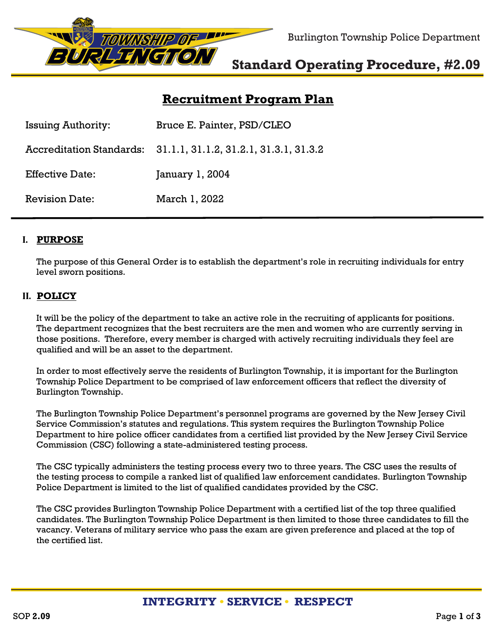

Burlington Township Police Department

# **[Standard](http://www.burltwppd.com/) Operating Procedure, #2.09**

# **Recruitment Program Plan**

| <b>Issuing Authority:</b> | Bruce E. Painter, PSD/CLEO                                      |
|---------------------------|-----------------------------------------------------------------|
|                           | Accreditation Standards: 31.1.1, 31.1.2, 31.2.1, 31.3.1, 31.3.2 |
| <b>Effective Date:</b>    | January 1, 2004                                                 |
| <b>Revision Date:</b>     | March 1, 2022                                                   |

### **I. PURPOSE**

The purpose of this General Order is to establish the department's role in recruiting individuals for entry level sworn positions.

## **II. POLICY**

It will be the policy of the department to take an active role in the recruiting of applicants for positions. The department recognizes that the best recruiters are the men and women who are currently serving in those positions. Therefore, every member is charged with actively recruiting individuals they feel are qualified and will be an asset to the department.

In order to most effectively serve the residents of Burlington Township, it is important for the Burlington Township Police Department to be comprised of law enforcement officers that reflect the diversity of Burlington Township.

The Burlington Township Police Department's personnel programs are governed by the New Jersey Civil Service Commission's statutes and regulations. This system requires the Burlington Township Police Department to hire police officer candidates from a certified list provided by the New Jersey Civil Service Commission (CSC) following a state-administered testing process.

The CSC typically administers the testing process every two to three years. The CSC uses the results of the testing process to compile a ranked list of qualified law enforcement candidates. Burlington Township Police Department is limited to the list of qualified candidates provided by the CSC.

The CSC provides Burlington Township Police Department with a certified list of the top three qualified candidates. The Burlington Township Police Department is then limited to those three candidates to fill the vacancy. Veterans of military service who pass the exam are given preference and placed at the top of the certified list.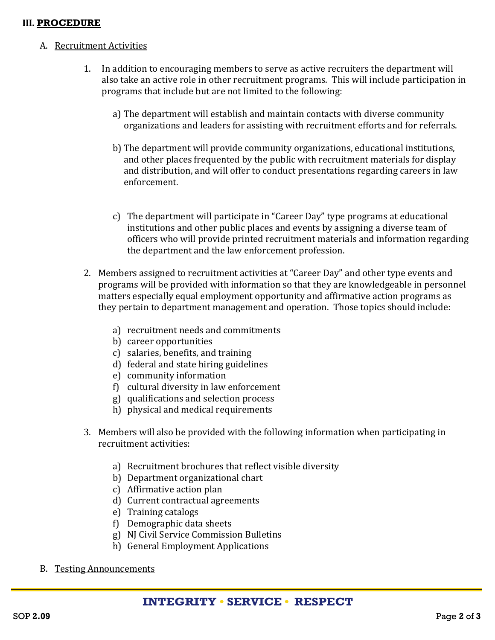### **III. PROCEDURE**

### A. Recruitment Activities

- 1. In addition to encouraging members to serve as active recruiters the department will also take an active role in other recruitment programs. This will include participation in programs that include but are not limited to the following:
	- a) The department will establish and maintain contacts with diverse community organizations and leaders for assisting with recruitment efforts and for referrals.
	- b) The department will provide community organizations, educational institutions, and other places frequented by the public with recruitment materials for display and distribution, and will offer to conduct presentations regarding careers in law enforcement.
	- c) The department will participate in "Career Day" type programs at educational institutions and other public places and events by assigning a diverse team of officers who will provide printed recruitment materials and information regarding the department and the law enforcement profession.
- 2. Members assigned to recruitment activities at "Career Day" and other type events and programs will be provided with information so that they are knowledgeable in personnel matters especially equal employment opportunity and affirmative action programs as they pertain to department management and operation. Those topics should include:
	- a) recruitment needs and commitments
	- b) career opportunities
	- c) salaries, benefits, and training
	- d) federal and state hiring guidelines
	- e) community information
	- f) cultural diversity in law enforcement
	- g) qualifications and selection process
	- h) physical and medical requirements
- 3. Members will also be provided with the following information when participating in recruitment activities:
	- a) Recruitment brochures that reflect visible diversity
	- b) Department organizational chart
	- c) Affirmative action plan
	- d) Current contractual agreements
	- e) Training catalogs
	- f) Demographic data sheets
	- g) NJ Civil Service Commission Bulletins
	- h) General Employment Applications
- B. Testing Announcements